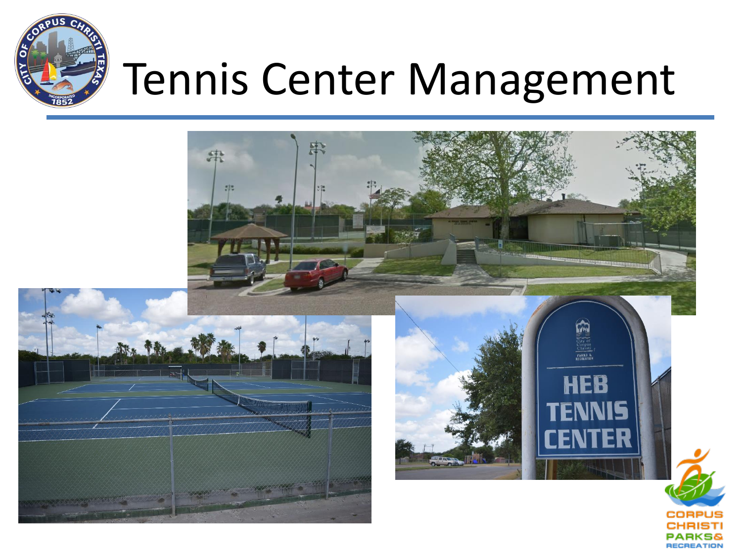

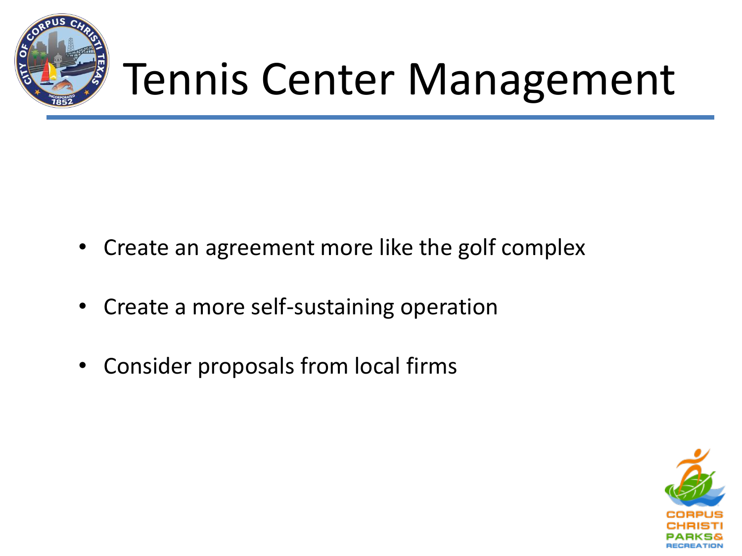

- Create an agreement more like the golf complex
- Create a more self-sustaining operation
- Consider proposals from local firms

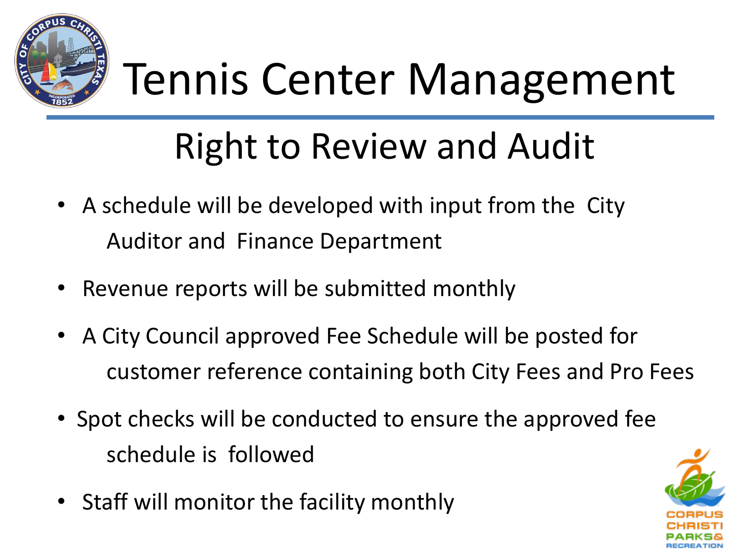

#### Right to Review and Audit

- A schedule will be developed with input from the City Auditor and Finance Department
- Revenue reports will be submitted monthly
- A City Council approved Fee Schedule will be posted for customer reference containing both City Fees and Pro Fees
- Spot checks will be conducted to ensure the approved fee schedule is followed
- Staff will monitor the facility monthly

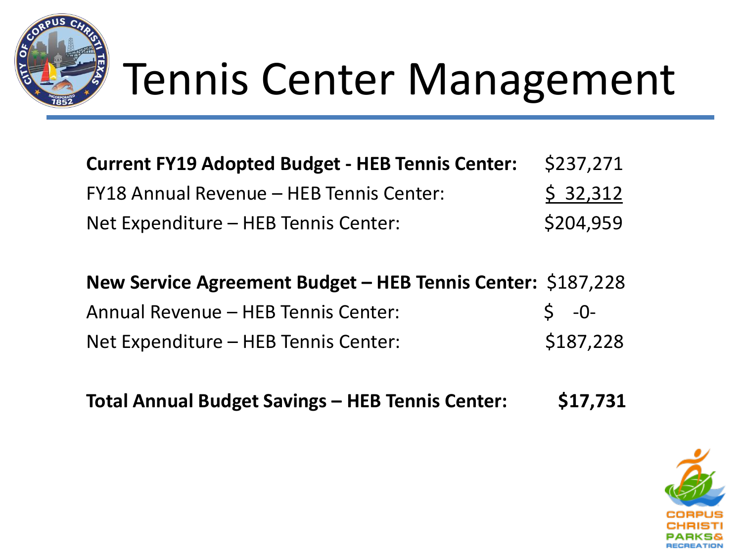

| <b>Current FY19 Adopted Budget - HEB Tennis Center:</b> | \$237,271 |
|---------------------------------------------------------|-----------|
| FY18 Annual Revenue – HEB Tennis Center:                | \$32,312  |
| Net Expenditure - HEB Tennis Center:                    | \$204.959 |

**New Service Agreement Budget – HEB Tennis Center:** \$187,228 Annual Revenue – HEB Tennis Center:  $\begin{array}{ccc} 5 & -0 \end{array}$ Net Expenditure – HEB Tennis Center: \$187,228

**Total Annual Budget Savings – HEB Tennis Center: \$17,731**